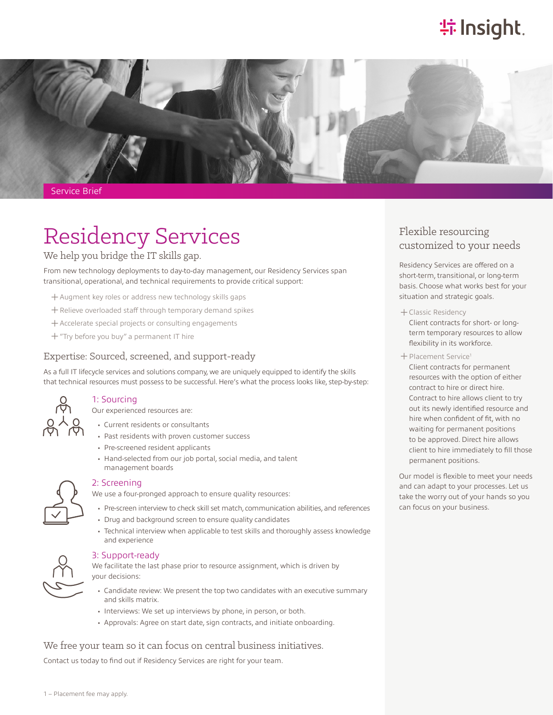# **特Insight**.



Service Brief

## Residency Services Flexible resourcing customized to your needs We help you bridge the IT skills gap.

From new technology deployments to day-to-day management, our Residency Services span transitional, operational, and technical requirements to provide critical support:

- ͓Augment key roles or address new technology skills gaps
- ͓Relieve overloaded staff through temporary demand spikes
- ͓Accelerate special projects or consulting engagements
- ͓"Try before you buy" a permanent IT hire

## Expertise: Sourced, screened, and support-ready

As a full IT lifecycle services and solutions company, we are uniquely equipped to identify the skills that technical resources must possess to be successful. Here's what the process looks like, step-by-step:



### 1: Sourcing Our experienced resources are:

- Current residents or consultants
- Past residents with proven customer success
- Pre-screened resident applicants
- Hand-selected from our job portal, social media, and talent management boards



### 2: Screening

We use a four-pronged approach to ensure quality resources:

- Pre-screen interview to check skill set match, communication abilities, and references
- Drug and background screen to ensure quality candidates
- Technical interview when applicable to test skills and thoroughly assess knowledge and experience



### 3: Support-ready

We facilitate the last phase prior to resource assignment, which is driven by your decisions:

- Candidate review: We present the top two candidates with an executive summary and skills matrix.
- Interviews: We set up interviews by phone, in person, or both.
- Approvals: Agree on start date, sign contracts, and initiate onboarding.

### We free your team so it can focus on central business initiatives.

Contact us today to find out if Residency Services are right for your team.

Residency Services are offered on a short-term, transitional, or long-term basis. Choose what works best for your situation and strategic goals.

͓Classic Residency

Client contracts for short- or longterm temporary resources to allow flexibility in its workforce.

͓Placement Service1

Client contracts for permanent resources with the option of either contract to hire or direct hire. Contract to hire allows client to try out its newly identified resource and hire when confident of fit, with no waiting for permanent positions to be approved. Direct hire allows client to hire immediately to fill those permanent positions.

Our model is flexible to meet your needs and can adapt to your processes. Let us take the worry out of your hands so you can focus on your business.